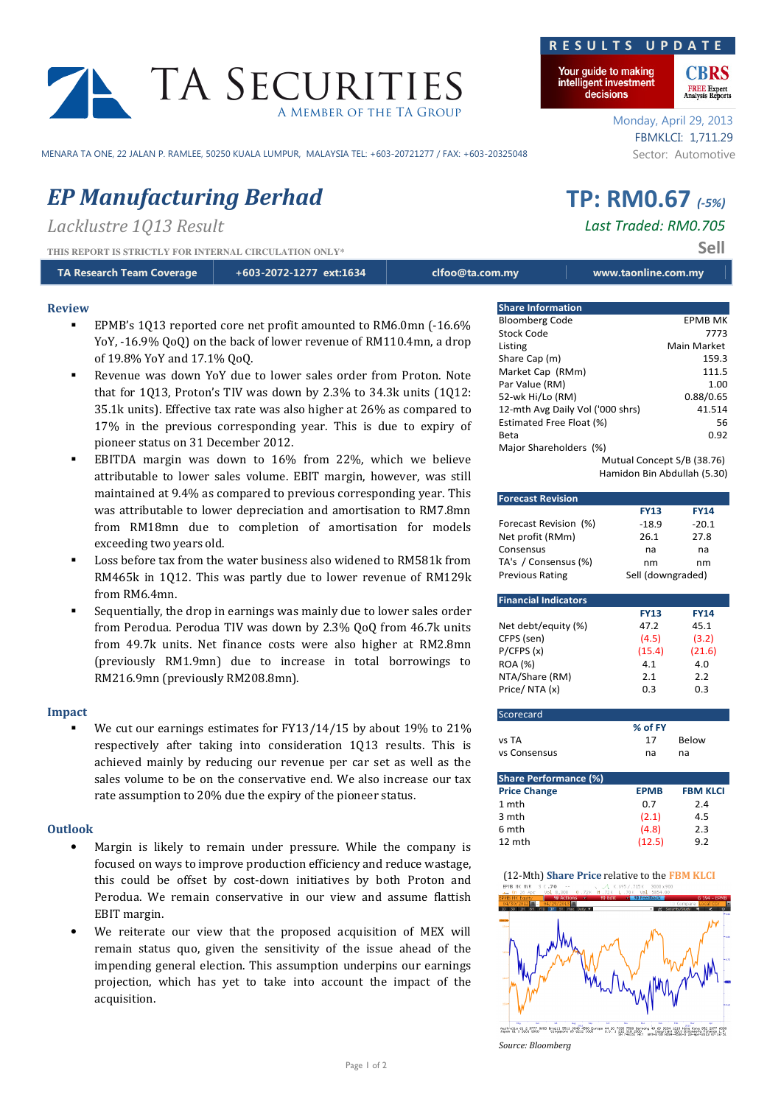# TA SECURITIES A Member of the TA Group

MENARA TA ONE, 22 JALAN P. RAMLEE, 50250 KUALA LUMPUR, MALAYSIA TEL: +603-20721277 / FAX: +603-20325048 Sector: Automotive

## EP Manufacturing Berhad TP: RM0.67 (-5%)

Lacklustre 1013 Result and the contract of the Last Traded: RM0.705

THIS REPORT IS STRICTLY FOR INTERNAL CIRCULATION ONLY\* Sell

| TA Research Team Coverage | +603-2072-1277 ext:1634 | clfoo@ta.com.my | www.taonline.com.my |
|---------------------------|-------------------------|-----------------|---------------------|
|---------------------------|-------------------------|-----------------|---------------------|

#### Review

- EPMB's 1Q13 reported core net profit amounted to RM6.0mn (-16.6% YoY, -16.9% QoQ) on the back of lower revenue of RM110.4mn, a drop of 19.8% YoY and 17.1% QoQ.
- Revenue was down YoY due to lower sales order from Proton. Note that for 1Q13, Proton's TIV was down by 2.3% to 34.3k units (1Q12: 35.1k units). Effective tax rate was also higher at 26% as compared to 17% in the previous corresponding year. This is due to expiry of pioneer status on 31 December 2012.
- EBITDA margin was down to 16% from 22%, which we believe attributable to lower sales volume. EBIT margin, however, was still maintained at 9.4% as compared to previous corresponding year. This was attributable to lower depreciation and amortisation to RM7.8mn from RM18mn due to completion of amortisation for models exceeding two years old.
- Loss before tax from the water business also widened to RM581k from RM465k in 1Q12. This was partly due to lower revenue of RM129k from RM6.4mn.
- Sequentially, the drop in earnings was mainly due to lower sales order from Perodua. Perodua TIV was down by 2.3% QoQ from 46.7k units from 49.7k units. Net finance costs were also higher at RM2.8mn (previously RM1.9mn) due to increase in total borrowings to RM216.9mn (previously RM208.8mn).

### Impact

 We cut our earnings estimates for FY13/14/15 by about 19% to 21% respectively after taking into consideration 1Q13 results. This is achieved mainly by reducing our revenue per car set as well as the sales volume to be on the conservative end. We also increase our tax rate assumption to 20% due the expiry of the pioneer status.

#### **Outlook**

- Margin is likely to remain under pressure. While the company is focused on ways to improve production efficiency and reduce wastage, this could be offset by cost-down initiatives by both Proton and Perodua. We remain conservative in our view and assume flattish EBIT margin.
- We reiterate our view that the proposed acquisition of MEX will remain status quo, given the sensitivity of the issue ahead of the impending general election. This assumption underpins our earnings projection, which has yet to take into account the impact of the acquisition.

### R E S U L T S U P D A T

Your guide to making intelligent investment decisions

> Monday, April 29, 2013 FBMKLCI: 1,711.29

**FREE Expert**<br>Analysis Reports

| <b>Share Information</b>         |  |                |  |
|----------------------------------|--|----------------|--|
| <b>Bloomberg Code</b>            |  | <b>EPMB MK</b> |  |
| Stock Code                       |  | 7773           |  |
| Listing                          |  | Main Market    |  |
| Share Cap (m)                    |  | 159.3          |  |
| Market Cap (RMm)                 |  | 111.5          |  |
| Par Value (RM)                   |  | 1.00           |  |
| 52-wk Hi/Lo (RM)                 |  | 0.88/0.65      |  |
| 12-mth Avg Daily Vol ('000 shrs) |  | 41.514         |  |
| Estimated Free Float (%)         |  | 56             |  |
| Beta                             |  | 0.92           |  |
| Major Shareholders (%)           |  |                |  |
| Mutual Concept S/B (38.76)       |  |                |  |
| Hamidon Bin Abdullah (5.30)      |  |                |  |

| <b>Forecast Revision</b>    |                   |              |  |  |  |
|-----------------------------|-------------------|--------------|--|--|--|
|                             | <b>FY13</b>       | <b>FY14</b>  |  |  |  |
| Forecast Revision (%)       | -18.9             | $-20.1$      |  |  |  |
| Net profit (RMm)            | 26.1              | 27.8         |  |  |  |
| Consensus                   | na                | na           |  |  |  |
| TA's / Consensus (%)        | nm<br>nm          |              |  |  |  |
| <b>Previous Rating</b>      | Sell (downgraded) |              |  |  |  |
|                             |                   |              |  |  |  |
| <b>Financial Indicators</b> |                   |              |  |  |  |
|                             | <b>FY13</b>       | <b>FY14</b>  |  |  |  |
| Net debt/equity (%)         | 47.2              | 45.1         |  |  |  |
| CFPS (sen)                  | (4.5)             | (3.2)        |  |  |  |
| P/CFPS(x)                   | (15.4)            | (21.6)       |  |  |  |
| <b>ROA (%)</b>              | 4.1               | 4.0          |  |  |  |
| NTA/Share (RM)              | 2.1               | 2.2          |  |  |  |
| Price/NTA (x)               | 0.3               | 0.3          |  |  |  |
|                             |                   |              |  |  |  |
| Scorecard                   |                   |              |  |  |  |
|                             | % of FY           |              |  |  |  |
| vs TA                       | 17                | <b>Below</b> |  |  |  |
| vs Consensus                | na                | na           |  |  |  |
|                             |                   |              |  |  |  |

| <b>Share Performance (%)</b> |             |                 |  |  |  |
|------------------------------|-------------|-----------------|--|--|--|
| <b>Price Change</b>          | <b>EPMB</b> | <b>FBM KLCI</b> |  |  |  |
| 1 mth                        | 0.7         | 2.4             |  |  |  |
| 3 mth                        | (2.1)       | 4.5             |  |  |  |
| 6 mth                        | (4.8)       | 2.3             |  |  |  |
| 12 mth                       | (12.5)      | 9.2             |  |  |  |





Source: Bloomberg